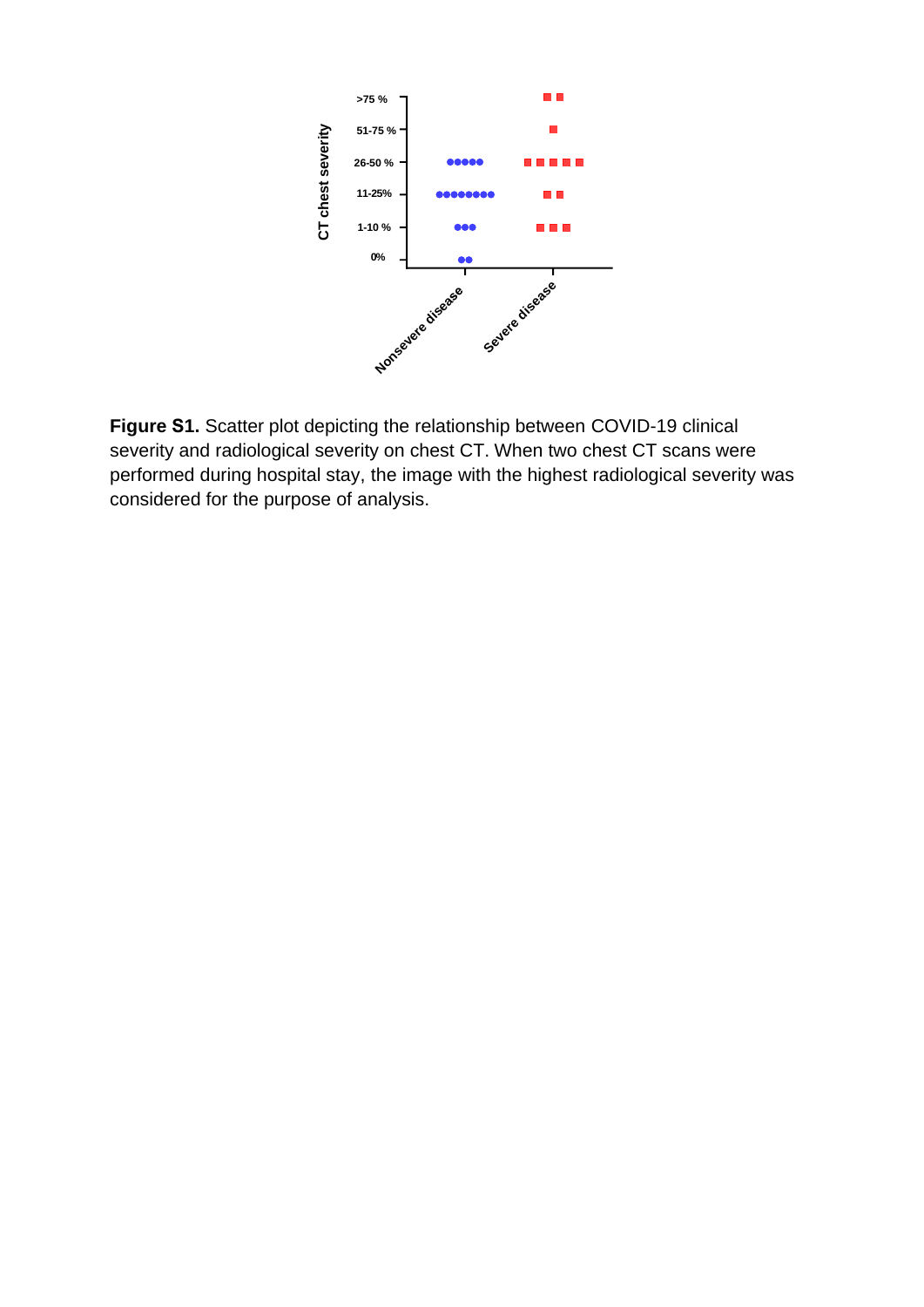

**Figure S1.** Scatter plot depicting the relationship between COVID-19 clinical severity and radiological severity on chest CT. When two chest CT scans were performed during hospital stay, the image with the highest radiological severity was considered for the purpose of analysis.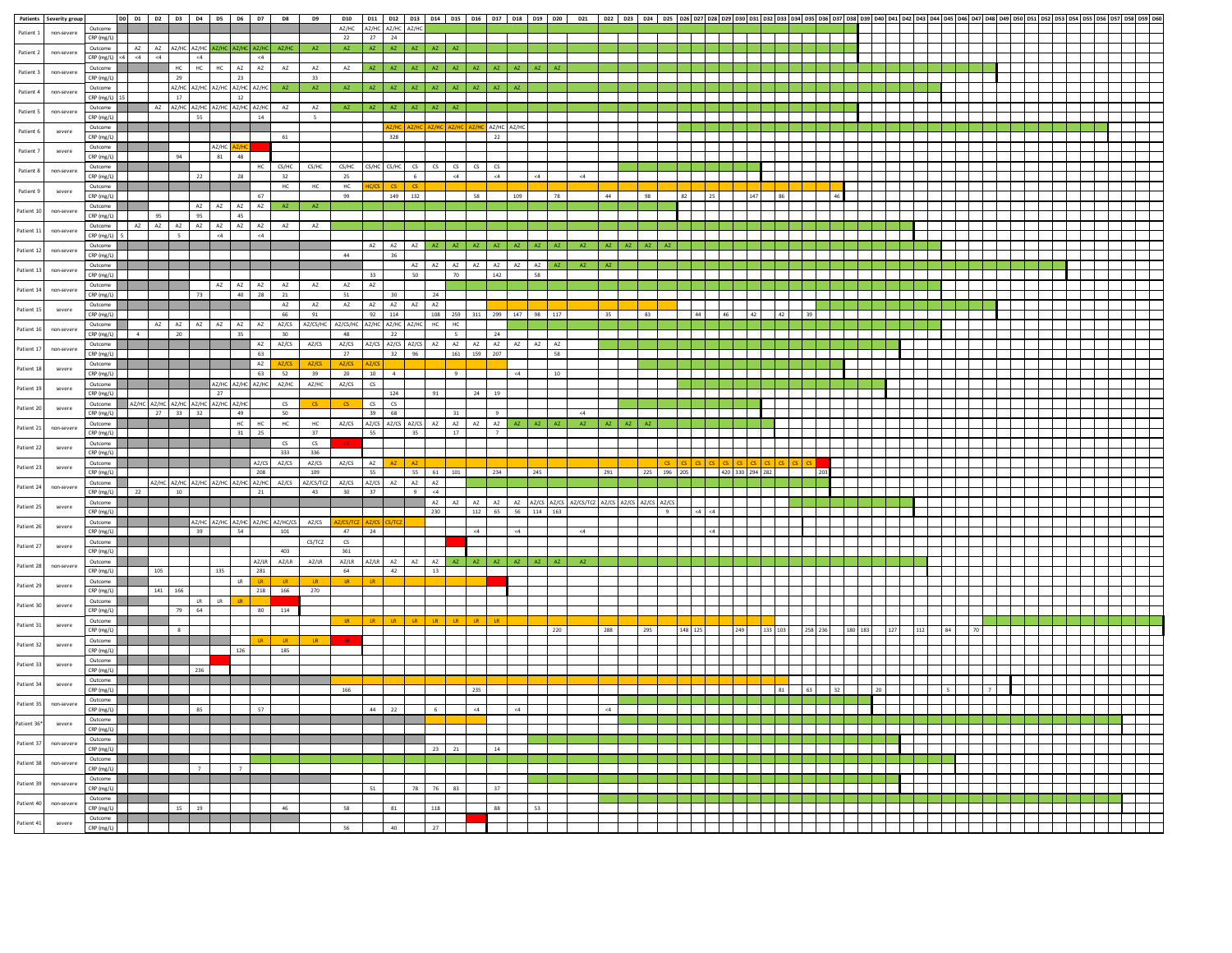|             | Patients Severity group |                                |                |          |                |       | DO D1 D2 D3 D4 D5 D6 D7                                          |           | D8            | D9                 |                                           |                       |                   |                |              | D10   D11   D12   D13   D14   D15   D16   D17   D18   D19   D20 |            |                   |     |    | D21                                              |     | D22   D23   D24   D25   D26   D27   D28   D29   D30   D31   D32   D33   D34   D35   D36   D37   D38   D39   D40 |             |    |                             |    |    |    |  |  |  |  |  |  |  |
|-------------|-------------------------|--------------------------------|----------------|----------|----------------|-------|------------------------------------------------------------------|-----------|---------------|--------------------|-------------------------------------------|-----------------------|-------------------|----------------|--------------|-----------------------------------------------------------------|------------|-------------------|-----|----|--------------------------------------------------|-----|-----------------------------------------------------------------------------------------------------------------|-------------|----|-----------------------------|----|----|----|--|--|--|--|--|--|--|
| Patient 1   | non-severe              | Outcome                        |                |          |                |       |                                                                  |           |               |                    | AZ/HC AZ/HC AZ/HC AZ/HC                   |                       |                   |                |              |                                                                 |            |                   |     |    |                                                  |     |                                                                                                                 |             |    |                             |    |    |    |  |  |  |  |  |  |  |
|             |                         | CRP (mg/L)                     |                |          |                |       |                                                                  |           |               |                    | 22                                        | 27 24                 |                   |                |              |                                                                 |            |                   |     |    |                                                  |     |                                                                                                                 |             |    |                             |    |    |    |  |  |  |  |  |  |  |
| Patient 2   | non-severe              |                                |                |          |                |       | Outcome AZ AZ AZ/HC AZ/HC AZ/HC AZ/HC AZ/HC                      |           | AZ/HC         | <b>AZ</b>          | $\mathsf{AZ}$                             | A7                    | $\mathsf{AZ} =$   | AZ             |              |                                                                 |            |                   |     |    |                                                  |     |                                                                                                                 |             |    |                             |    |    |    |  |  |  |  |  |  |  |
|             |                         | $CRP(mg/L) < 4$ <4 <4 <4 <4 <4 |                |          |                |       |                                                                  | $\leq 4$  |               |                    |                                           |                       |                   |                |              |                                                                 |            |                   |     |    |                                                  |     |                                                                                                                 |             |    |                             |    |    |    |  |  |  |  |  |  |  |
| Patient 3   | non-severe              | Outcome                        |                |          |                |       | HC HC HC AZ AZ                                                   |           | ${\sf AZ}$    | AZ                 | $\mathsf{AZ}$                             | AZ                    | AZ AZ             |                |              | AZ AZ                                                           | AZ         |                   |     |    |                                                  |     |                                                                                                                 |             |    |                             |    |    |    |  |  |  |  |  |  |  |
|             |                         | CRP (mg/L)                     |                |          | 29             |       | 23                                                               |           |               | 33                 |                                           |                       |                   |                |              |                                                                 |            |                   |     |    |                                                  |     |                                                                                                                 |             |    |                             |    |    |    |  |  |  |  |  |  |  |
|             |                         | Outcome                        |                |          |                |       | AZ/HC AZ/HC AZ/HC AZ/HC AZ/HC                                    |           | AZ .          | $\sim$ AZ $_\odot$ | AZ .                                      |                       | AZ AZ             | AZ.            | AZ .         | AZ .<br>AZ                                                      |            | AZ AZ             |     |    |                                                  |     |                                                                                                                 |             |    |                             |    |    |    |  |  |  |  |  |  |  |
| Patient 4   | non-severe              | CRP (mg/L) 15                  |                |          | 17             |       | 12                                                               |           |               |                    |                                           |                       |                   |                |              |                                                                 |            |                   |     |    |                                                  |     |                                                                                                                 |             |    |                             |    |    |    |  |  |  |  |  |  |  |
|             |                         | Outcome                        |                | A7       |                |       | AZ/HC AZ/HC AZ/HC AZ/HC AZ/HC                                    |           | AZ            | AZ                 |                                           |                       |                   |                |              |                                                                 |            |                   |     |    |                                                  |     |                                                                                                                 |             |    |                             |    |    |    |  |  |  |  |  |  |  |
| Patient 5   | non-severe              | CRP (mg/L)                     |                |          |                | 55    |                                                                  | 14        |               | $\sf s$            |                                           |                       |                   |                |              |                                                                 |            |                   |     |    |                                                  |     |                                                                                                                 |             |    |                             |    |    |    |  |  |  |  |  |  |  |
|             |                         | Outcome                        |                |          |                |       |                                                                  |           |               |                    |                                           |                       |                   |                |              |                                                                 | AZ/HC AZ/H |                   |     |    |                                                  |     |                                                                                                                 |             |    |                             |    |    |    |  |  |  |  |  |  |  |
| Patient 6   | severe                  | CRP (mg/L)                     |                |          |                |       |                                                                  |           | 61            |                    |                                           |                       | 328               |                |              |                                                                 | 22         |                   |     |    |                                                  |     |                                                                                                                 |             |    |                             |    |    |    |  |  |  |  |  |  |  |
|             |                         |                                |                |          |                |       |                                                                  |           |               |                    |                                           |                       |                   |                |              |                                                                 |            |                   |     |    |                                                  |     |                                                                                                                 |             |    |                             |    |    |    |  |  |  |  |  |  |  |
| Patient 7   | severe                  | Outcome                        |                |          | 94             |       | AZ/HC<br>81 48                                                   |           |               |                    |                                           |                       |                   |                |              |                                                                 |            |                   |     |    |                                                  |     |                                                                                                                 |             |    |                             |    |    |    |  |  |  |  |  |  |  |
|             |                         | CRP (mg/L)                     |                |          |                |       |                                                                  |           |               |                    |                                           |                       |                   |                |              |                                                                 |            |                   |     |    |                                                  |     |                                                                                                                 |             |    |                             |    |    |    |  |  |  |  |  |  |  |
| Patient 8   | non-severe              | Outcome                        |                |          |                |       |                                                                  | HC        | CS/HC         | CS/HC              | CS/HC                                     | CS/HC                 | $CS/HC$ $CS$      |                | $\infty$     | $cs$ $cs$                                                       | $\circ$    |                   |     |    |                                                  |     |                                                                                                                 |             |    |                             |    |    |    |  |  |  |  |  |  |  |
|             |                         | CRP (mg/L)                     |                |          |                | 22    | 28                                                               |           | 32            |                    | 25                                        |                       | 6 <sup>1</sup>    |                |              | $\leq 4$                                                        | $\leq 4$   |                   | <4  |    | <4                                               |     |                                                                                                                 |             |    |                             |    |    |    |  |  |  |  |  |  |  |
| Patient 9   | severe                  | Outcome                        |                |          |                |       |                                                                  |           | <b>HC</b>     | HC                 | HC                                        |                       | $CS$ $CS$         |                |              |                                                                 |            |                   |     |    |                                                  |     |                                                                                                                 |             |    |                             |    |    |    |  |  |  |  |  |  |  |
|             |                         | CRP (mg/L)                     |                |          |                |       |                                                                  | 67        |               |                    | 99                                        |                       | 149 132           |                |              | 58                                                              |            | 109               |     |    |                                                  | 44  |                                                                                                                 |             |    |                             |    |    |    |  |  |  |  |  |  |  |
| Patient 10  | non-severe              | Outcome                        |                |          |                |       | $\begin{tabular}{cccccc} A Z & A Z & A Z & A Z \\ \end{tabular}$ |           | $\mathsf{AZ}$ |                    |                                           |                       |                   |                |              |                                                                 |            |                   |     |    |                                                  |     |                                                                                                                 |             |    |                             |    |    |    |  |  |  |  |  |  |  |
|             |                         | CRP (mg/L)                     |                | 95       |                |       | 95 45                                                            |           |               |                    |                                           |                       |                   |                |              |                                                                 |            |                   |     |    |                                                  |     |                                                                                                                 |             |    |                             |    |    |    |  |  |  |  |  |  |  |
|             |                         | Outcome                        | AZ             |          |                |       | AZ AZ AZ AZ AZ AZ                                                |           | AZ            | AZ                 |                                           |                       |                   |                |              |                                                                 |            |                   |     |    |                                                  |     |                                                                                                                 |             |    |                             |    |    |    |  |  |  |  |  |  |  |
| Patient 11  | non-severe              | $CRP$ (mg/L) $5$               |                |          | 5 <sub>1</sub> |       | $<4$ $\hfill$ $<4$                                               |           |               |                    |                                           |                       |                   |                |              |                                                                 |            |                   |     |    |                                                  |     |                                                                                                                 |             |    |                             |    |    |    |  |  |  |  |  |  |  |
|             |                         | Outcome                        |                |          |                |       |                                                                  |           |               |                    |                                           |                       |                   |                |              | AZ AZ AZ AZ AZ AZ AZ AZ AZ AZ                                   |            |                   |     |    | AZ                                               | AZ. | AZ AZ AZ                                                                                                        |             |    |                             |    |    |    |  |  |  |  |  |  |  |
| Patient 12  | non-severe              | CRP (mg/L)                     |                |          |                |       |                                                                  |           |               |                    | 44                                        |                       | 36                |                |              |                                                                 |            |                   |     |    |                                                  |     |                                                                                                                 |             |    |                             |    |    |    |  |  |  |  |  |  |  |
|             |                         | Outcome                        |                |          |                |       |                                                                  |           |               |                    |                                           |                       |                   |                |              | AZ AZ AZ AZ AZ AZ AZ AZ AZ                                      |            |                   |     |    |                                                  |     |                                                                                                                 |             |    |                             |    |    |    |  |  |  |  |  |  |  |
| Patient 13  | non-severe              | CRP (mg/L)                     |                |          |                |       |                                                                  |           |               |                    |                                           | 33                    |                   | 50             |              | 70                                                              | 142        |                   | 58  |    |                                                  |     |                                                                                                                 |             |    |                             |    |    |    |  |  |  |  |  |  |  |
|             |                         | Outcome                        |                |          |                |       | AZ AZ AZ                                                         |           | AZ            | AZ                 | AZ                                        | AZ                    |                   |                |              |                                                                 |            |                   |     |    |                                                  |     |                                                                                                                 |             |    |                             |    |    |    |  |  |  |  |  |  |  |
| Patient 14  | non-severe              | CRP (mg/L)                     |                |          |                | 73    |                                                                  | 40 28     | 21            |                    | 51                                        |                       | 30 <sup>2</sup>   |                | 24           |                                                                 |            |                   |     |    |                                                  |     |                                                                                                                 |             |    |                             |    |    |    |  |  |  |  |  |  |  |
|             |                         |                                |                |          |                |       |                                                                  |           |               |                    |                                           |                       |                   |                |              |                                                                 |            |                   |     |    |                                                  |     |                                                                                                                 |             |    |                             |    |    |    |  |  |  |  |  |  |  |
| Patient 15  | severe                  | Outcome                        |                |          |                |       |                                                                  |           | $\mathsf{AZ}$ | ${\sf AZ}$         | $\mathsf{AZ}$                             | AZ                    | AZ AZ             |                | AZ           |                                                                 |            |                   |     |    |                                                  |     |                                                                                                                 |             |    |                             |    |    |    |  |  |  |  |  |  |  |
|             |                         | CRP (mg/L)                     |                |          |                |       |                                                                  |           | 66            | 91                 |                                           |                       | 92 114            |                |              | 108 259 311 299 147 98 117                                      |            |                   |     |    |                                                  | 35  | 83                                                                                                              |             | 44 | 46 42                       | 42 | 39 |    |  |  |  |  |  |  |  |
| Patient 16  | non-severe              | Outcome                        |                | A7       | AZ             | AZ    | AZ<br>AZ                                                         | AZ        | AZ/CS         | AZ/CS/HC           | AZ/CS/HC                                  |                       | AZ/HC AZ/HC AZ/HC |                | $HC$ $HC$    |                                                                 |            |                   |     |    |                                                  |     |                                                                                                                 |             |    |                             |    |    |    |  |  |  |  |  |  |  |
|             |                         | CRP (mg/L)                     | $\overline{4}$ |          | 20             |       | 35                                                               |           | 30            |                    | 48                                        |                       | 22                |                |              | $\overline{\phantom{a}}$                                        | 24         |                   |     |    |                                                  |     |                                                                                                                 |             |    |                             |    |    |    |  |  |  |  |  |  |  |
| Patient 17  | non-severe              | Outcome                        |                |          |                |       |                                                                  |           | AZ AZ/CS      | AZ/CS              |                                           |                       |                   |                |              | AZ/CS AZ/CS AZ/CS AZ/CS AZ AZ AZ AZ AZ AZ AZ AZ                 |            |                   |     |    |                                                  |     |                                                                                                                 |             |    |                             |    |    |    |  |  |  |  |  |  |  |
|             |                         | CRP (mg/L)                     |                |          |                |       |                                                                  | 63        |               |                    | 27                                        |                       | 32 96             |                |              | $161 \qquad 159 \qquad 207$                                     |            |                   |     | 58 |                                                  |     |                                                                                                                 |             |    |                             |    |    |    |  |  |  |  |  |  |  |
| Patient 18  | severe                  | Outcome                        |                |          |                |       |                                                                  | AZ        |               |                    |                                           |                       |                   |                |              |                                                                 |            |                   |     |    |                                                  |     |                                                                                                                 |             |    |                             |    |    |    |  |  |  |  |  |  |  |
|             |                         | CRP (mg/L)                     |                |          |                |       |                                                                  | 63        | 52            | 39                 | 20                                        | 10                    | 4                 |                |              | e<br>I                                                          |            | <4                |     | 10 |                                                  |     |                                                                                                                 |             |    |                             |    |    |    |  |  |  |  |  |  |  |
|             |                         | Outcome                        |                |          |                |       | AZ/HC AZ/HC AZ/HC AZ/HC                                          |           |               | AZ/HC              | $AZ/CS$ $CS$                              |                       |                   |                |              |                                                                 |            |                   |     |    |                                                  |     |                                                                                                                 |             |    |                             |    |    |    |  |  |  |  |  |  |  |
| Patient 19  | severe                  | CRP (mg/L)                     |                |          |                |       | 27                                                               |           |               |                    |                                           |                       | 124               |                | 91           |                                                                 | 24 19      |                   |     |    |                                                  |     |                                                                                                                 |             |    |                             |    |    |    |  |  |  |  |  |  |  |
|             |                         | Outcome                        | AZ/HC          |          |                |       | AZ/HC AZ/HC AZ/HC AZ/HC AZ/HC                                    |           | $\infty$      | $\alpha$           | $\circ$                                   | $\alpha$ and $\alpha$ |                   |                |              |                                                                 |            |                   |     |    |                                                  |     |                                                                                                                 |             |    |                             |    |    |    |  |  |  |  |  |  |  |
| Patient 20  | severe                  | CRP (mg/L)                     |                | 27 33 32 |                |       | 49                                                               |           | 50            |                    |                                           | 39                    | 68                |                |              | 31                                                              | 9          |                   |     |    | <4                                               |     |                                                                                                                 |             |    |                             |    |    |    |  |  |  |  |  |  |  |
|             |                         | Outcome                        |                |          |                |       |                                                                  | $HC$ $HC$ | HC            |                    | HC AZ/CS AZ/CS AZ/CS AZ/CS AZ AZ AZ AZ AZ |                       |                   |                |              |                                                                 |            | A7                | A7  |    |                                                  |     |                                                                                                                 |             |    |                             |    |    |    |  |  |  |  |  |  |  |
| Patient 21  | non-severe              | CRP (mg/L)                     |                |          |                |       |                                                                  | 31 25     |               | 37                 |                                           | 55                    | 35                |                |              | 17                                                              |            |                   |     |    |                                                  |     |                                                                                                                 |             |    |                             |    |    |    |  |  |  |  |  |  |  |
|             |                         |                                |                |          |                |       |                                                                  |           | $\infty$      | CS                 |                                           |                       |                   |                |              |                                                                 |            |                   |     |    |                                                  |     |                                                                                                                 |             |    |                             |    |    |    |  |  |  |  |  |  |  |
| Patient 22  | severe                  | Outcome                        |                |          |                |       |                                                                  |           | 333           | 336                |                                           |                       |                   |                |              |                                                                 |            |                   |     |    |                                                  |     |                                                                                                                 |             |    |                             |    |    |    |  |  |  |  |  |  |  |
|             |                         | CRP (mg/L)                     |                |          |                |       |                                                                  |           |               |                    |                                           |                       |                   |                |              |                                                                 |            |                   |     |    |                                                  |     |                                                                                                                 |             |    |                             |    |    |    |  |  |  |  |  |  |  |
| Patient 23  | severe                  | Outcome                        |                |          |                |       |                                                                  | AZ/CS     | AZ/CS         | AZ/CS              | AZ/CS AZ                                  |                       | AZ.               |                |              |                                                                 |            |                   |     |    |                                                  |     |                                                                                                                 |             |    |                             |    |    |    |  |  |  |  |  |  |  |
|             |                         | CRP (mg/L)                     |                |          |                |       |                                                                  | 208       |               | 109                |                                           | 55                    |                   |                | AZ 55 61 101 |                                                                 | 234        |                   | 245 |    |                                                  | 291 |                                                                                                                 |             |    | 225 196 205 420 330 294 282 |    |    |    |  |  |  |  |  |  |  |
| Patient 24  | non-severe              | Outcome                        |                |          |                |       | AZ/HC AZ/HC AZ/HC AZ/HC AZ/HC AZ/HC AZ/CS                        |           |               | AZ/CS/TCZ          | AZ/CS AZ/CS AZ AZ                         |                       |                   |                | AZ           |                                                                 |            |                   |     |    |                                                  |     |                                                                                                                 |             |    |                             |    |    |    |  |  |  |  |  |  |  |
|             |                         | CRP (mg/L)                     | 22             |          | 10             |       |                                                                  | 21        |               | 43                 | 30 37                                     |                       |                   | $\overline{9}$ | <4           |                                                                 |            |                   |     |    |                                                  |     |                                                                                                                 |             |    |                             |    |    |    |  |  |  |  |  |  |  |
| Patient 25  | severe                  | Outcome                        |                |          |                |       |                                                                  |           |               |                    |                                           |                       |                   |                |              |                                                                 |            |                   |     |    | AZ AZ AZ AZ AZ AZ/CS AZ/CS AZ/CS/TCZ AZ/CS AZ/CS |     |                                                                                                                 | AZ/CS AZ/CS |    |                             |    |    |    |  |  |  |  |  |  |  |
|             |                         | CRP (mg/L)                     |                |          |                |       |                                                                  |           |               |                    |                                           |                       |                   |                | 230          |                                                                 |            | 112 65 56 114 163 |     |    |                                                  |     |                                                                                                                 |             |    |                             |    |    |    |  |  |  |  |  |  |  |
|             | severe                  | Outcome                        |                |          |                |       | AZ/HC AZ/HC AZ/HC AZ/HC/CS                                       |           |               | AZ/CS              |                                           |                       |                   |                |              |                                                                 |            |                   |     |    |                                                  |     |                                                                                                                 |             |    |                             |    |    |    |  |  |  |  |  |  |  |
| Patient 26  |                         | CRP (mg/L)                     |                |          |                | 39    | 54                                                               |           | 101           |                    | 47                                        | 24                    |                   |                |              | 44                                                              |            |                   |     |    |                                                  |     |                                                                                                                 |             |    |                             |    |    |    |  |  |  |  |  |  |  |
|             |                         | Outcome                        |                |          |                |       |                                                                  |           |               | CS/TCZ             | $\mathsf{CS}$                             |                       |                   |                |              |                                                                 |            |                   |     |    |                                                  |     |                                                                                                                 |             |    |                             |    |    |    |  |  |  |  |  |  |  |
| Patient 27  | severe                  | CRP (mg/L)                     |                |          |                |       |                                                                  |           | 403           |                    | 361                                       |                       |                   |                |              |                                                                 |            |                   |     |    |                                                  |     |                                                                                                                 |             |    |                             |    |    |    |  |  |  |  |  |  |  |
|             |                         | Outcome                        |                |          |                |       |                                                                  | AZ/LR     | AZ/LR         | AZ/LR              | AZ/LR                                     | AZ/LR                 | AZ AZ             |                |              | AZ AZ AZ                                                        | AZ.        |                   |     |    |                                                  |     |                                                                                                                 |             |    |                             |    |    |    |  |  |  |  |  |  |  |
| Patient 28  | non-severe              | CRP (mg/L)                     |                |          |                |       | 135                                                              | 281       |               |                    | 64                                        |                       | 42                |                | 13           |                                                                 |            |                   |     |    |                                                  |     |                                                                                                                 |             |    |                             |    |    |    |  |  |  |  |  |  |  |
|             |                         | Outcome                        |                |          |                |       | LR                                                               | TR.       |               |                    |                                           |                       |                   |                |              |                                                                 |            |                   |     |    |                                                  |     |                                                                                                                 |             |    |                             |    |    |    |  |  |  |  |  |  |  |
| Patient 29  | severe                  | CRP (mg/L)                     |                | 141 166  |                |       |                                                                  |           |               | 218 166 270        |                                           |                       |                   |                |              |                                                                 |            |                   |     |    |                                                  |     |                                                                                                                 |             |    |                             |    |    |    |  |  |  |  |  |  |  |
|             |                         | Outcome                        |                |          |                | LR LR |                                                                  |           |               |                    |                                           |                       |                   |                |              |                                                                 |            |                   |     |    |                                                  |     |                                                                                                                 |             |    |                             |    |    |    |  |  |  |  |  |  |  |
| Patient 30  | severe                  | CRP (mg/L)                     |                |          | 79 64          |       |                                                                  |           | 80 114        |                    |                                           |                       |                   |                |              |                                                                 |            |                   |     |    |                                                  |     |                                                                                                                 |             |    |                             |    |    |    |  |  |  |  |  |  |  |
|             |                         |                                |                |          |                |       |                                                                  |           |               |                    |                                           |                       |                   |                |              |                                                                 |            |                   |     |    |                                                  |     |                                                                                                                 |             |    |                             |    |    |    |  |  |  |  |  |  |  |
| Patient 31  | severe                  | Outcome                        |                |          | 8              |       |                                                                  |           |               |                    |                                           |                       |                   |                |              |                                                                 |            |                   |     |    |                                                  | 288 |                                                                                                                 |             |    |                             |    |    |    |  |  |  |  |  |  |  |
|             |                         | CRP (mg/L)                     |                |          |                |       |                                                                  |           |               |                    |                                           |                       |                   |                |              |                                                                 |            |                   |     |    |                                                  |     |                                                                                                                 |             |    |                             |    |    |    |  |  |  |  |  |  |  |
| Patient 32  | severe                  | Outcome                        |                |          |                |       |                                                                  |           |               |                    |                                           |                       |                   |                |              |                                                                 |            |                   |     |    |                                                  |     |                                                                                                                 |             |    |                             |    |    |    |  |  |  |  |  |  |  |
|             |                         | CRP (mg/L)                     |                |          |                |       | 126                                                              |           | 185           |                    |                                           |                       |                   |                |              |                                                                 |            |                   |     |    |                                                  |     |                                                                                                                 |             |    |                             |    |    |    |  |  |  |  |  |  |  |
| Patient 33  | severe                  | Outcome                        |                |          |                |       |                                                                  |           |               |                    |                                           |                       |                   |                |              |                                                                 |            |                   |     |    |                                                  |     |                                                                                                                 |             |    |                             |    |    |    |  |  |  |  |  |  |  |
|             |                         | CRP (mg/L)                     |                |          |                | 236   |                                                                  |           |               |                    |                                           |                       |                   |                |              |                                                                 |            |                   |     |    |                                                  |     |                                                                                                                 |             |    |                             |    |    |    |  |  |  |  |  |  |  |
| Patient 34  | severe                  | Outcome                        |                |          |                |       |                                                                  |           |               |                    |                                           |                       |                   |                |              |                                                                 |            |                   |     |    |                                                  |     |                                                                                                                 |             |    |                             |    |    |    |  |  |  |  |  |  |  |
|             |                         | CRP (mg/L)                     |                |          |                |       |                                                                  |           |               |                    | 166                                       |                       |                   |                |              |                                                                 |            |                   |     |    |                                                  |     |                                                                                                                 |             |    |                             | 81 | 63 | 32 |  |  |  |  |  |  |  |
|             |                         | Outcome                        |                |          |                |       |                                                                  |           |               |                    |                                           |                       |                   |                |              |                                                                 |            |                   |     |    |                                                  |     |                                                                                                                 |             |    |                             |    |    |    |  |  |  |  |  |  |  |
| Patient 35  | non-severe              | CRP (mg/L)                     |                |          |                | 85    |                                                                  |           |               |                    |                                           | 44 22                 |                   |                |              |                                                                 |            |                   |     |    |                                                  |     |                                                                                                                 |             |    |                             |    |    |    |  |  |  |  |  |  |  |
|             |                         | Outcome                        |                |          |                |       |                                                                  |           |               |                    |                                           |                       |                   |                |              |                                                                 |            |                   |     |    |                                                  |     |                                                                                                                 |             |    |                             |    |    |    |  |  |  |  |  |  |  |
| Patient 36* | severe                  | CRP (mg/L)                     |                |          |                |       |                                                                  |           |               |                    |                                           |                       |                   |                |              |                                                                 |            |                   |     |    |                                                  |     |                                                                                                                 |             |    |                             |    |    |    |  |  |  |  |  |  |  |
|             |                         | Outcome                        |                |          |                |       |                                                                  |           |               |                    |                                           |                       |                   |                |              |                                                                 |            |                   |     |    |                                                  |     |                                                                                                                 |             |    |                             |    |    |    |  |  |  |  |  |  |  |
| Patient 37  | non-severe              | CRP (mg/L)                     |                |          |                |       |                                                                  |           |               |                    |                                           |                       |                   |                |              |                                                                 |            |                   |     |    |                                                  |     |                                                                                                                 |             |    |                             |    |    |    |  |  |  |  |  |  |  |
|             |                         |                                |                |          |                |       |                                                                  |           |               |                    |                                           |                       |                   |                |              |                                                                 |            |                   |     |    |                                                  |     |                                                                                                                 |             |    |                             |    |    |    |  |  |  |  |  |  |  |
| Patient 38  | non-severe              | Outcome                        |                |          |                |       |                                                                  |           |               |                    |                                           |                       |                   |                |              |                                                                 |            |                   |     |    |                                                  |     |                                                                                                                 |             |    |                             |    |    |    |  |  |  |  |  |  |  |
|             |                         | $CRP$ (mg/L)                   |                |          |                |       |                                                                  |           |               |                    |                                           |                       |                   |                |              |                                                                 |            |                   |     |    |                                                  |     |                                                                                                                 |             |    |                             |    |    |    |  |  |  |  |  |  |  |
| Patient 39  | non-severe              | Outcome                        |                |          |                |       |                                                                  |           |               |                    |                                           |                       |                   |                |              |                                                                 |            |                   |     |    |                                                  |     |                                                                                                                 |             |    |                             |    |    |    |  |  |  |  |  |  |  |
|             |                         | CRP (mg/L)                     |                |          |                |       |                                                                  |           |               |                    |                                           |                       |                   |                |              |                                                                 |            |                   |     |    |                                                  |     |                                                                                                                 |             |    |                             |    |    |    |  |  |  |  |  |  |  |
| Patient 40  | non-severe              | Outcome                        |                |          |                |       |                                                                  |           |               |                    |                                           |                       |                   |                |              |                                                                 |            |                   |     |    |                                                  |     |                                                                                                                 |             |    |                             |    |    |    |  |  |  |  |  |  |  |
|             |                         | CRP (mg/L)                     |                |          |                |       |                                                                  |           |               |                    |                                           |                       |                   |                |              |                                                                 |            |                   |     |    |                                                  |     |                                                                                                                 |             |    |                             |    |    |    |  |  |  |  |  |  |  |
| Patient 41  | severe                  | Outcome                        |                |          |                |       |                                                                  |           |               |                    |                                           |                       |                   |                |              |                                                                 |            |                   |     |    |                                                  |     |                                                                                                                 |             |    |                             |    |    |    |  |  |  |  |  |  |  |
|             |                         | CRP (mg/L)                     |                |          |                |       |                                                                  |           |               |                    |                                           |                       |                   |                |              |                                                                 |            |                   |     |    |                                                  |     |                                                                                                                 |             |    |                             |    |    |    |  |  |  |  |  |  |  |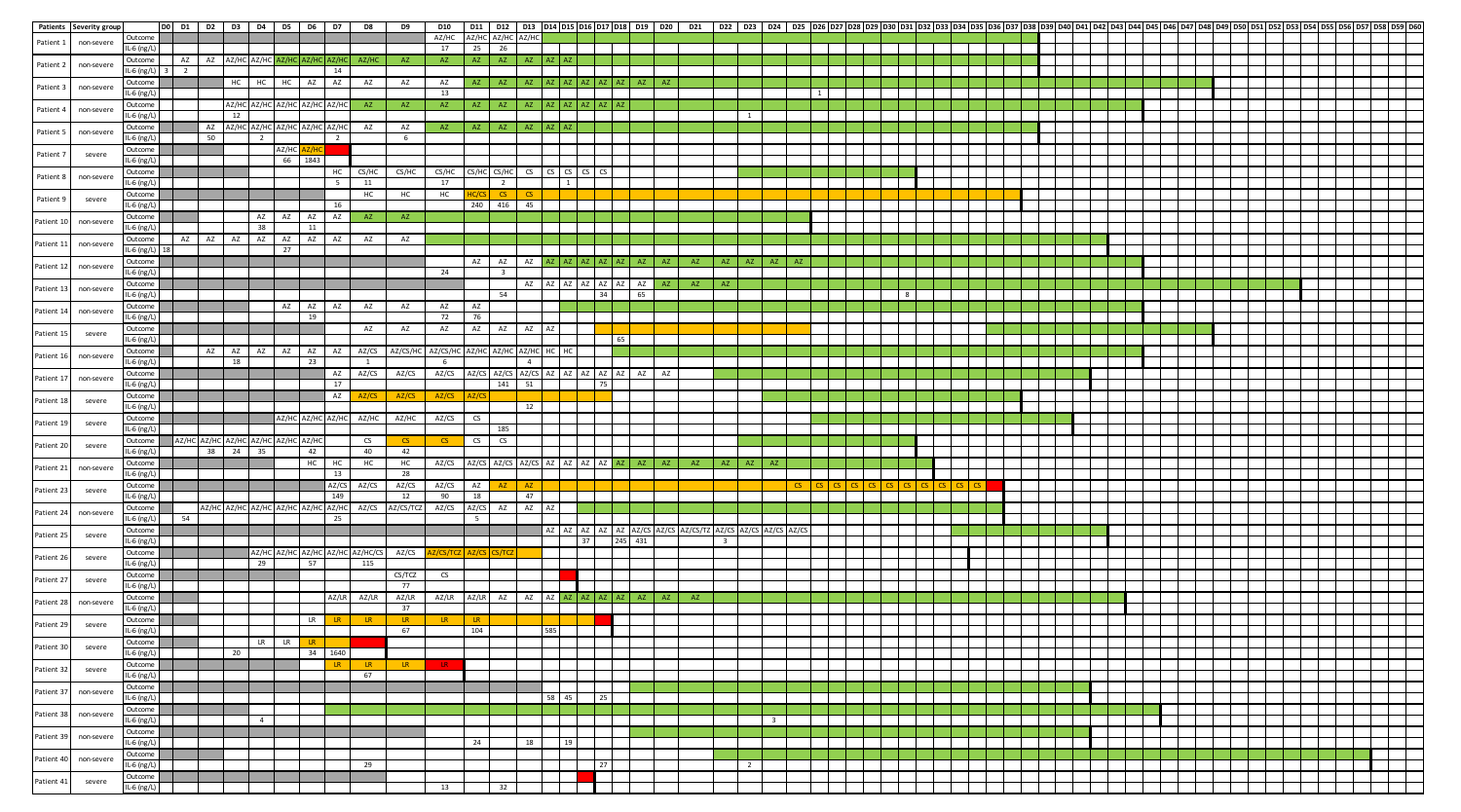| Patients   | Severity group |                   | DO D1 D2 D3 D4 D5 D6 D7             |       |           |                |                                     |                 |                | D8                               | <b>D9</b>       | <b>D10</b>           |                |                         |                |                                         |             |                                  |                 |            | D11 D12 D13 D14 D15 D16 D17 D18 D19 D20 D21                    |                         |                |              |  |  | 023   024   025  026  027  028  029  030  031  032  033  034  035  036  037  038  039  040  041  042  043  044  045  046  047  048  049  050 |  |  |  |  |  |  |  |  |
|------------|----------------|-------------------|-------------------------------------|-------|-----------|----------------|-------------------------------------|-----------------|----------------|----------------------------------|-----------------|----------------------|----------------|-------------------------|----------------|-----------------------------------------|-------------|----------------------------------|-----------------|------------|----------------------------------------------------------------|-------------------------|----------------|--------------|--|--|----------------------------------------------------------------------------------------------------------------------------------------------|--|--|--|--|--|--|--|--|
|            |                | Jutcome           |                                     |       |           |                |                                     |                 |                |                                  |                 | AZ/HC                |                | AZ/HC AZ/HC             |                |                                         |             |                                  |                 |            |                                                                |                         |                |              |  |  |                                                                                                                                              |  |  |  |  |  |  |  |  |
| Patient 1  | non-severe     | IL-6 $(ng/L)$     |                                     |       |           |                |                                     |                 |                |                                  |                 | 17 25 26             |                |                         |                |                                         |             |                                  |                 |            |                                                                |                         |                |              |  |  |                                                                                                                                              |  |  |  |  |  |  |  |  |
|            |                | Outcome           | AZ AZ AZ/HC AZ/HC AZ/HC AZ/HC AZ/HC |       |           |                |                                     |                 |                | AZ/HC                            | AZ              | AZ -                 |                | AZ AZ AZ AZ AZ          |                |                                         |             |                                  |                 |            |                                                                |                         |                |              |  |  |                                                                                                                                              |  |  |  |  |  |  |  |  |
| Patient 2  | non-severe     |                   |                                     |       |           |                |                                     |                 |                |                                  |                 |                      |                |                         |                |                                         |             |                                  |                 |            |                                                                |                         |                |              |  |  |                                                                                                                                              |  |  |  |  |  |  |  |  |
|            |                | IL-6 $(ng/L)$ 3 2 |                                     |       |           |                |                                     |                 | 14             |                                  |                 |                      |                |                         |                | and the control                         |             |                                  |                 |            |                                                                |                         |                |              |  |  |                                                                                                                                              |  |  |  |  |  |  |  |  |
| Patient 3  | non-severe     | Outcome           |                                     |       | <b>HC</b> |                | HC HC AZ AZ                         |                 |                | AZ                               | AZ              | AZ                   | AZ             | AZ                      | $\Delta$ 7     | $A7$ $A7$                               |             | A7 A7 A7                         | $\Delta$ 7      | $\Delta$ 7 |                                                                |                         |                |              |  |  |                                                                                                                                              |  |  |  |  |  |  |  |  |
|            |                | IL-6 $(ng/L)$     |                                     |       |           |                |                                     |                 |                |                                  |                 | 13                   |                |                         |                | - 1                                     |             |                                  |                 |            |                                                                |                         |                | $\mathbf{1}$ |  |  |                                                                                                                                              |  |  |  |  |  |  |  |  |
|            |                | Outcome           |                                     |       |           |                | AZ/HC AZ/HC AZ/HC AZ/HC AZ/HC       |                 |                | AZ                               | AZ              | AZ                   |                | AZ AZ                   |                | AZ AZ AZ AZ AZ                          |             |                                  |                 |            |                                                                |                         |                |              |  |  |                                                                                                                                              |  |  |  |  |  |  |  |  |
| Patient 4  | non-severe     | IL-6 $(ng/L)$     |                                     |       | 12        |                |                                     |                 |                |                                  |                 |                      |                |                         |                | $\mathbf{I}$                            |             |                                  |                 |            |                                                                |                         | $\overline{1}$ |              |  |  |                                                                                                                                              |  |  |  |  |  |  |  |  |
|            |                | Outcome           |                                     |       |           |                | AZ AZ/HC AZ/HC AZ/HC AZ/HC AZ/HC    |                 |                | AZ                               | AZ              | AZ .                 | AZ             | AZ AZ                   |                | AZ AZ                                   |             |                                  |                 |            |                                                                |                         |                |              |  |  |                                                                                                                                              |  |  |  |  |  |  |  |  |
| Patient 5  | non-severe     |                   |                                     |       |           |                |                                     |                 |                |                                  | 6               |                      |                |                         |                |                                         |             |                                  |                 |            |                                                                |                         |                |              |  |  |                                                                                                                                              |  |  |  |  |  |  |  |  |
|            |                | IL-6 (ng/L)       |                                     | 50    |           | $\overline{2}$ |                                     |                 | $\overline{2}$ |                                  |                 |                      |                |                         |                |                                         |             |                                  |                 |            |                                                                |                         |                |              |  |  |                                                                                                                                              |  |  |  |  |  |  |  |  |
| Patient 7  | severe         | Outcome           |                                     |       |           |                | AZ/HC                               |                 |                |                                  |                 |                      |                |                         |                |                                         |             |                                  |                 |            |                                                                |                         |                |              |  |  |                                                                                                                                              |  |  |  |  |  |  |  |  |
|            |                | IL-6 $(ng/L)$     |                                     |       |           |                | 66 1843                             |                 |                |                                  |                 |                      |                |                         |                |                                         |             |                                  |                 |            |                                                                |                         |                |              |  |  |                                                                                                                                              |  |  |  |  |  |  |  |  |
|            |                | Outcome           |                                     |       |           |                |                                     |                 | HC             | CS/HC                            | CS/HC           | CS/HC                |                | CS/HC CS/HC             |                | $\circ$ $\circ$ $\circ$ $\circ$ $\circ$ |             |                                  |                 |            |                                                                |                         |                |              |  |  |                                                                                                                                              |  |  |  |  |  |  |  |  |
| Patient 8  | non-severe     | $L-6$ (ne/L)      |                                     |       |           |                |                                     |                 | $-5$           | 11                               |                 | 17                   |                | $\overline{2}$          |                | $\perp$                                 |             |                                  |                 |            |                                                                |                         |                |              |  |  |                                                                                                                                              |  |  |  |  |  |  |  |  |
|            |                | Outcome           |                                     |       |           |                |                                     |                 |                | HC                               | HC              | HC 1                 |                | $\mathsf{CS}^-$         |                |                                         |             |                                  |                 |            |                                                                |                         |                |              |  |  |                                                                                                                                              |  |  |  |  |  |  |  |  |
| Patient 9  | severe         | IL-6 $(ng/L)$     |                                     |       |           |                |                                     |                 | 16             |                                  |                 |                      |                | 240 416                 | 45             |                                         |             |                                  |                 |            |                                                                |                         |                |              |  |  |                                                                                                                                              |  |  |  |  |  |  |  |  |
|            |                |                   |                                     |       |           |                |                                     |                 |                |                                  |                 |                      |                |                         |                |                                         |             |                                  |                 |            |                                                                |                         |                |              |  |  |                                                                                                                                              |  |  |  |  |  |  |  |  |
| Patient 10 | non-severe     | Outcome           |                                     |       |           | AZ             | AZ AZ                               |                 | AZ             | AZ                               | AZ              |                      |                |                         |                |                                         |             |                                  |                 |            |                                                                |                         |                |              |  |  |                                                                                                                                              |  |  |  |  |  |  |  |  |
|            |                | IL-6 (ng/L)       |                                     |       |           | 38             |                                     | $\overline{11}$ |                |                                  |                 |                      |                |                         |                |                                         |             |                                  |                 |            |                                                                |                         |                |              |  |  |                                                                                                                                              |  |  |  |  |  |  |  |  |
| Patient 1: | non-severe     | Outcome           | AZ AZ AZ                            |       |           | AZ I           | AZ I                                | AZ AZ           |                | AZ                               | AZ              |                      |                |                         |                |                                         |             |                                  |                 |            |                                                                |                         |                |              |  |  |                                                                                                                                              |  |  |  |  |  |  |  |  |
|            |                | IL-6 (ng/L) 18    |                                     |       |           |                | 27                                  |                 |                |                                  |                 |                      |                |                         |                |                                         |             |                                  |                 |            |                                                                |                         |                |              |  |  |                                                                                                                                              |  |  |  |  |  |  |  |  |
|            |                | Outcome           |                                     |       |           |                |                                     |                 |                |                                  |                 |                      |                | AZ AZ                   | AZ             |                                         | A7 A7 A7 A7 |                                  |                 |            |                                                                |                         |                |              |  |  |                                                                                                                                              |  |  |  |  |  |  |  |  |
| Patient 12 | non-severe     | IL-6 $(ng/L)$     |                                     |       |           |                |                                     |                 |                |                                  |                 | 24                   |                | $\overline{\mathbf{3}}$ |                |                                         |             |                                  |                 |            |                                                                |                         |                |              |  |  |                                                                                                                                              |  |  |  |  |  |  |  |  |
|            |                | Outcome           |                                     |       |           |                |                                     |                 |                |                                  |                 |                      |                |                         | AZ             | AZ AZ AZ AZ                             |             |                                  | AZ<br>A7        |            |                                                                |                         |                |              |  |  |                                                                                                                                              |  |  |  |  |  |  |  |  |
| Patient 13 | non-severe     |                   |                                     |       |           |                |                                     |                 |                |                                  |                 |                      |                | 54                      |                |                                         |             | 34                               | 65              |            |                                                                |                         |                |              |  |  |                                                                                                                                              |  |  |  |  |  |  |  |  |
|            |                | IL-6 (ng/L)       |                                     |       |           |                |                                     |                 |                |                                  |                 |                      |                |                         |                |                                         |             |                                  |                 |            |                                                                |                         |                |              |  |  |                                                                                                                                              |  |  |  |  |  |  |  |  |
| Patient 14 | non-severe     | Outcome           |                                     |       |           |                | A7                                  | AZ AZ           |                | AZ                               | AZ              | AZ                   | AZ             |                         |                |                                         |             |                                  |                 |            |                                                                |                         |                |              |  |  |                                                                                                                                              |  |  |  |  |  |  |  |  |
|            |                | IL-6 (ng/L)       |                                     |       |           |                |                                     | 19              |                |                                  |                 | 72                   | 76             |                         |                |                                         |             |                                  |                 |            |                                                                |                         |                |              |  |  |                                                                                                                                              |  |  |  |  |  |  |  |  |
|            |                | Outcome           |                                     |       |           |                |                                     |                 |                | AZ                               | AZ              | AZ                   |                | AZ AZ AZ AZ             |                |                                         |             |                                  |                 |            |                                                                |                         |                |              |  |  |                                                                                                                                              |  |  |  |  |  |  |  |  |
| Patient 15 | severe         | IL-6 $(ng/L)$     |                                     |       |           |                |                                     |                 |                |                                  |                 |                      |                |                         |                |                                         |             |                                  | 65              |            |                                                                |                         |                |              |  |  |                                                                                                                                              |  |  |  |  |  |  |  |  |
|            |                | Outcome           |                                     | AZ AZ |           | AZ             | AZ                                  | AZ AZ           |                | AZ/CS                            | AZ/CS/HC        | AZ/CS/HC AZ/HC AZ/HC |                |                         | A7/HC          |                                         |             |                                  |                 |            |                                                                |                         |                |              |  |  |                                                                                                                                              |  |  |  |  |  |  |  |  |
| Patient 16 | non-severe     | IL-6 (ng/L)       |                                     |       | 18        |                |                                     | 23              |                | $\overline{1}$                   |                 | 6                    |                |                         | $\overline{a}$ |                                         |             |                                  |                 |            |                                                                |                         |                |              |  |  |                                                                                                                                              |  |  |  |  |  |  |  |  |
|            |                | Outcome           |                                     |       |           |                |                                     |                 | AZ             | AZ/CS                            | AZ/CS           | AZ/CS                |                |                         |                |                                         |             | AZ/CS AZ/CS AZ/CS AZ AZ AZ AZ AZ | AZ              | AZ         |                                                                |                         |                |              |  |  |                                                                                                                                              |  |  |  |  |  |  |  |  |
| Patient 17 | non-severe     | IL-6 $(ng/L)$     |                                     |       |           |                |                                     |                 | 17             |                                  |                 |                      |                | 141 51                  |                |                                         |             | 75                               |                 |            |                                                                |                         |                |              |  |  |                                                                                                                                              |  |  |  |  |  |  |  |  |
|            |                |                   |                                     |       |           |                |                                     |                 |                |                                  |                 |                      |                |                         |                |                                         |             |                                  |                 |            |                                                                |                         |                |              |  |  |                                                                                                                                              |  |  |  |  |  |  |  |  |
| Patient 18 | severe         | Outcome           |                                     |       |           |                |                                     |                 | AZ             |                                  | AZ/CS           | AZ/CS                |                |                         |                |                                         |             |                                  |                 |            |                                                                |                         |                |              |  |  |                                                                                                                                              |  |  |  |  |  |  |  |  |
|            |                | IL-6 $(ng/L)$     |                                     |       |           |                |                                     |                 |                |                                  |                 |                      |                |                         | 12             |                                         |             |                                  |                 |            |                                                                |                         |                |              |  |  |                                                                                                                                              |  |  |  |  |  |  |  |  |
| Patient 19 | severe         | Outcome           |                                     |       |           |                | AZ/HC AZ/HC                         |                 | AZ/HC          | AZ/HC                            | AZ/HC           | AZ/CS                | $\mathsf{cs}$  |                         |                |                                         |             |                                  |                 |            |                                                                |                         |                |              |  |  |                                                                                                                                              |  |  |  |  |  |  |  |  |
|            |                | IL-6 $(ng/L)$     |                                     |       |           |                |                                     |                 |                |                                  |                 |                      |                | 185                     |                |                                         |             |                                  |                 |            |                                                                |                         |                |              |  |  |                                                                                                                                              |  |  |  |  |  |  |  |  |
| Patient 20 | severe         | Outcome           | AZ/HC AZ/HC AZ/HC AZ/HC             |       |           |                | AZ/HC AZ/HC                         |                 |                | CS                               | $\mathsf{CS}$   | CS.                  | CS             | CS                      |                |                                         |             |                                  |                 |            |                                                                |                         |                |              |  |  |                                                                                                                                              |  |  |  |  |  |  |  |  |
|            |                | IL-6 $(ng/L)$     |                                     | 38 24 |           | 35             |                                     | 42              |                | 40                               | 42              |                      |                |                         |                |                                         |             |                                  |                 |            |                                                                |                         |                |              |  |  |                                                                                                                                              |  |  |  |  |  |  |  |  |
|            |                | Outcome           |                                     |       |           |                |                                     | HC HC           |                | HC                               | HC              | AZ/CS                |                | AZ/CS AZ/CS AZ/CS       |                | AZ AZ AZ AZ                             |             |                                  | A7<br><b>A7</b> | <b>AZ</b>  | AZ                                                             | A7                      | A7             |              |  |  |                                                                                                                                              |  |  |  |  |  |  |  |  |
| Patient 21 | non-severe     | IL-6 (ng/L)       |                                     |       |           |                |                                     |                 | 13             |                                  | 28              |                      |                |                         |                |                                         |             |                                  |                 |            |                                                                |                         |                |              |  |  |                                                                                                                                              |  |  |  |  |  |  |  |  |
|            |                | Outcome           |                                     |       |           |                |                                     |                 | AZ/CS          | AZ/CS                            | AZ/CS           | AZ/CS                | AZ             | $\Delta$ 7              | $\Delta$ 7     |                                         |             |                                  |                 |            |                                                                |                         |                |              |  |  |                                                                                                                                              |  |  |  |  |  |  |  |  |
| Patient 23 | severe         | IL-6 $(ng/L)$     |                                     |       |           |                |                                     |                 | 149            |                                  | 12              | 90                   | 18             |                         | 47             | $\mathbf{I}$                            |             |                                  |                 |            |                                                                |                         |                |              |  |  |                                                                                                                                              |  |  |  |  |  |  |  |  |
|            |                | Outcome           |                                     |       |           |                | AZ/HC AZ/HC AZ/HC AZ/HC AZ/HC AZ/HC |                 |                |                                  | AZ/CS AZ/CS/TCZ | AZ/CS                |                | AZ/CS AZ AZ AZ          |                |                                         |             |                                  |                 |            |                                                                |                         |                |              |  |  |                                                                                                                                              |  |  |  |  |  |  |  |  |
| Patient 24 | non-severe     |                   |                                     |       |           |                |                                     |                 |                |                                  |                 |                      |                |                         |                |                                         |             |                                  |                 |            |                                                                |                         |                |              |  |  |                                                                                                                                              |  |  |  |  |  |  |  |  |
|            |                | IL-6 (ng/L)       | 54                                  |       |           |                |                                     |                 | 25             |                                  |                 |                      | 5 <sup>1</sup> |                         |                |                                         |             |                                  |                 |            |                                                                |                         |                |              |  |  |                                                                                                                                              |  |  |  |  |  |  |  |  |
| Patient 25 | severe         | Outcome           |                                     |       |           |                |                                     |                 |                |                                  |                 |                      |                |                         |                |                                         |             |                                  |                 |            | AZ AZ AZ AZ AZ AZ AZ/CS AZ/CS AZ/CS/TZ AZ/CS AZ/CS AZ/CS AZ/CS |                         |                |              |  |  |                                                                                                                                              |  |  |  |  |  |  |  |  |
|            |                | IL-6 (ng/L)       |                                     |       |           |                |                                     |                 |                |                                  |                 |                      |                |                         |                |                                         | 37          | 245                              | 431             |            |                                                                | $\overline{\mathbf{3}}$ |                |              |  |  |                                                                                                                                              |  |  |  |  |  |  |  |  |
|            |                | Outcome           |                                     |       |           |                |                                     |                 |                | AZ/HC_AZ/HC_AZ/HC_AZ/HC_AZ/HC/CS | AZ/CS           |                      |                |                         |                |                                         |             |                                  |                 |            |                                                                |                         |                |              |  |  |                                                                                                                                              |  |  |  |  |  |  |  |  |
| Patient 26 | severe         | IL-6 $(ng/L)$     |                                     |       |           | 29             |                                     | 57              |                | 115                              |                 |                      |                |                         |                |                                         |             |                                  |                 |            |                                                                |                         |                |              |  |  |                                                                                                                                              |  |  |  |  |  |  |  |  |
|            |                | Outcome           |                                     |       |           |                |                                     |                 |                |                                  | CS/TCZ          | $\mathsf{CS}$        |                |                         |                |                                         |             |                                  |                 |            |                                                                |                         |                |              |  |  |                                                                                                                                              |  |  |  |  |  |  |  |  |
| Patient 27 | severe         | L-6 (ng/L)        |                                     |       |           |                |                                     |                 |                |                                  | 77              |                      |                |                         |                |                                         |             |                                  |                 |            |                                                                |                         |                |              |  |  |                                                                                                                                              |  |  |  |  |  |  |  |  |
|            |                |                   |                                     |       |           |                |                                     |                 |                |                                  |                 |                      |                |                         |                |                                         |             |                                  |                 |            |                                                                |                         |                |              |  |  |                                                                                                                                              |  |  |  |  |  |  |  |  |
| Patient 28 | non-severe     | Outcome           |                                     |       |           |                |                                     |                 | AZ/LR          | AZ/LR                            | AZ/LR           | AZ/LR                | AZ/LR          | AZ                      | AZ             |                                         |             | AZ AZ AZ AZ AZ AZ                |                 | AZ         | AZ                                                             |                         |                |              |  |  |                                                                                                                                              |  |  |  |  |  |  |  |  |
|            |                | IL-6 (ng/L)       |                                     |       |           |                |                                     |                 |                |                                  | 37              |                      |                |                         |                |                                         |             |                                  |                 |            |                                                                |                         |                |              |  |  |                                                                                                                                              |  |  |  |  |  |  |  |  |
| Patient 29 | severe         | Outcome           |                                     |       |           |                |                                     | LR              |                | $\overline{1R}$                  | <b>IR</b>       | <b>ID</b>            | TR.            |                         |                |                                         |             |                                  |                 |            |                                                                |                         |                |              |  |  |                                                                                                                                              |  |  |  |  |  |  |  |  |
|            |                | IL-6 $(ng/L)$     |                                     |       |           |                |                                     |                 |                |                                  | 67              |                      | 104            |                         |                | 582                                     |             |                                  |                 |            |                                                                |                         |                |              |  |  |                                                                                                                                              |  |  |  |  |  |  |  |  |
| Patient 30 | severe         | Outcome           |                                     |       |           |                | $LR$ $LR$                           |                 |                |                                  |                 |                      |                |                         |                |                                         |             |                                  |                 |            |                                                                |                         |                |              |  |  |                                                                                                                                              |  |  |  |  |  |  |  |  |
|            |                | IL-6 (ng/L)       |                                     |       | 20        |                |                                     |                 | 34 1640        |                                  |                 |                      |                |                         |                |                                         |             |                                  |                 |            |                                                                |                         |                |              |  |  |                                                                                                                                              |  |  |  |  |  |  |  |  |
|            |                | Outcome           |                                     |       |           |                |                                     |                 |                | <b>IR</b>                        | TR.             |                      |                |                         |                |                                         |             |                                  |                 |            |                                                                |                         |                |              |  |  |                                                                                                                                              |  |  |  |  |  |  |  |  |
| Patient 32 | severe         | L-6 (ng/L)        |                                     |       |           |                |                                     |                 |                | 67                               |                 |                      |                |                         |                |                                         |             |                                  |                 |            |                                                                |                         |                |              |  |  |                                                                                                                                              |  |  |  |  |  |  |  |  |
|            |                | Outcome           |                                     |       |           |                |                                     |                 |                |                                  |                 |                      |                |                         |                |                                         |             |                                  |                 |            |                                                                |                         |                |              |  |  |                                                                                                                                              |  |  |  |  |  |  |  |  |
| Patient 37 | non-severe     | IL-6 (ng/L)       |                                     |       |           |                |                                     |                 |                |                                  |                 |                      |                |                         |                | 58 45                                   |             | 25                               |                 |            |                                                                |                         |                |              |  |  |                                                                                                                                              |  |  |  |  |  |  |  |  |
|            |                |                   |                                     |       |           |                |                                     |                 |                |                                  |                 |                      |                |                         |                |                                         |             |                                  |                 |            |                                                                |                         |                |              |  |  |                                                                                                                                              |  |  |  |  |  |  |  |  |
| Patient 38 | non-severe     | <b>Outcome</b>    |                                     |       |           |                |                                     |                 |                |                                  |                 |                      |                |                         |                |                                         |             |                                  |                 |            |                                                                |                         |                |              |  |  |                                                                                                                                              |  |  |  |  |  |  |  |  |
|            |                | L-6 (ng/L)        |                                     |       |           | $\sim$         |                                     |                 |                |                                  |                 |                      |                |                         |                |                                         |             |                                  |                 |            |                                                                |                         |                |              |  |  |                                                                                                                                              |  |  |  |  |  |  |  |  |
| Patient 39 | non-severe     | Outcome           |                                     |       |           |                |                                     |                 |                |                                  |                 |                      |                |                         |                |                                         |             |                                  |                 |            |                                                                |                         |                |              |  |  |                                                                                                                                              |  |  |  |  |  |  |  |  |
|            |                | IL-6 $(ng/L)$     |                                     |       |           |                |                                     |                 |                |                                  |                 |                      | 24             |                         | 18             | 19                                      |             |                                  |                 |            |                                                                |                         |                |              |  |  |                                                                                                                                              |  |  |  |  |  |  |  |  |
|            |                | Outcome           |                                     |       |           |                |                                     |                 |                |                                  |                 |                      |                |                         |                |                                         |             |                                  |                 |            |                                                                |                         |                |              |  |  |                                                                                                                                              |  |  |  |  |  |  |  |  |
| Patient 40 | non-severe     | IL-6 (ng/L)       |                                     |       |           |                |                                     |                 |                | 29                               |                 |                      |                |                         |                |                                         |             | 27                               |                 |            |                                                                |                         | $\overline{z}$ |              |  |  |                                                                                                                                              |  |  |  |  |  |  |  |  |
|            |                | Outcome           |                                     |       |           |                |                                     |                 |                |                                  |                 |                      |                |                         |                |                                         |             |                                  |                 |            |                                                                |                         |                |              |  |  |                                                                                                                                              |  |  |  |  |  |  |  |  |
| Patient 41 | severe         | IL-6 (ng/L)       |                                     |       |           |                |                                     |                 |                |                                  |                 | 13                   |                | 32                      |                |                                         |             |                                  |                 |            |                                                                |                         |                |              |  |  |                                                                                                                                              |  |  |  |  |  |  |  |  |
|            |                |                   |                                     |       |           |                |                                     |                 |                |                                  |                 |                      |                |                         |                |                                         |             |                                  |                 |            |                                                                |                         |                |              |  |  |                                                                                                                                              |  |  |  |  |  |  |  |  |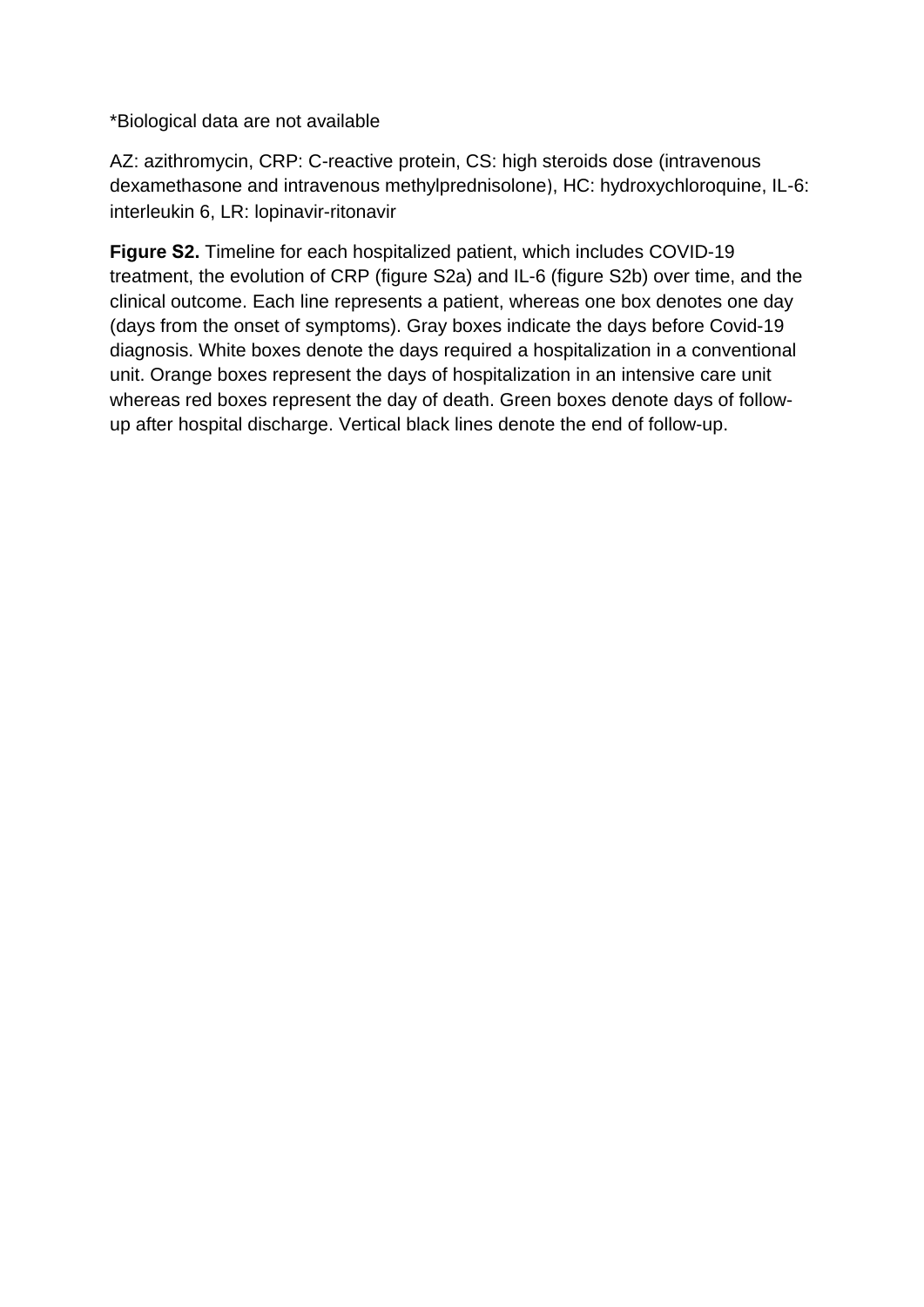\*Biological data are not available

AZ: azithromycin, CRP: C-reactive protein, CS: high steroids dose (intravenous dexamethasone and intravenous methylprednisolone), HC: hydroxychloroquine, IL-6: interleukin 6, LR: lopinavir-ritonavir

**Figure S2.** Timeline for each hospitalized patient, which includes COVID-19 treatment, the evolution of CRP (figure S2a) and IL-6 (figure S2b) over time, and the clinical outcome. Each line represents a patient, whereas one box denotes one day (days from the onset of symptoms). Gray boxes indicate the days before Covid-19 diagnosis. White boxes denote the days required a hospitalization in a conventional unit. Orange boxes represent the days of hospitalization in an intensive care unit whereas red boxes represent the day of death. Green boxes denote days of followup after hospital discharge. Vertical black lines denote the end of follow-up.